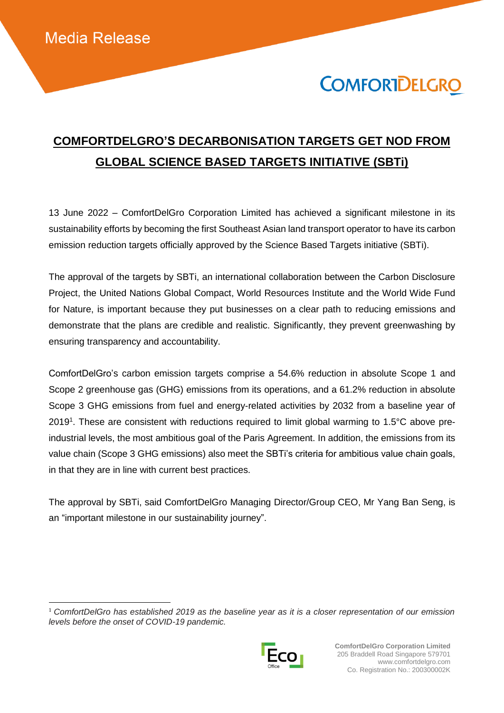$\overline{a}$ 

# **COMFORTDELGRO**

### **COMFORTDELGRO'S DECARBONISATION TARGETS GET NOD FROM GLOBAL SCIENCE BASED TARGETS INITIATIVE (SBTi)**

13 June 2022 – ComfortDelGro Corporation Limited has achieved a significant milestone in its sustainability efforts by becoming the first Southeast Asian land transport operator to have its carbon emission reduction targets officially approved by the Science Based Targets initiative (SBTi).

The approval of the targets by SBTi, an international collaboration between the Carbon Disclosure Project, the United Nations Global Compact, World Resources Institute and the World Wide Fund for Nature, is important because they put businesses on a clear path to reducing emissions and demonstrate that the plans are credible and realistic. Significantly, they prevent greenwashing by ensuring transparency and accountability.

ComfortDelGro's carbon emission targets comprise a 54.6% reduction in absolute Scope 1 and Scope 2 greenhouse gas (GHG) emissions from its operations, and a 61.2% reduction in absolute Scope 3 GHG emissions from fuel and energy-related activities by 2032 from a baseline year of 2019<sup>1</sup>. These are consistent with reductions required to limit global warming to 1.5°C above preindustrial levels, the most ambitious goal of the Paris Agreement. In addition, the emissions from its value chain (Scope 3 GHG emissions) also meet the SBTi's criteria for ambitious value chain goals, in that they are in line with current best practices.

The approval by SBTi, said ComfortDelGro Managing Director/Group CEO, Mr Yang Ban Seng, is an "important milestone in our sustainability journey".

<sup>1</sup> *ComfortDelGro has established 2019 as the baseline year as it is a closer representation of our emission levels before the onset of COVID-19 pandemic.*

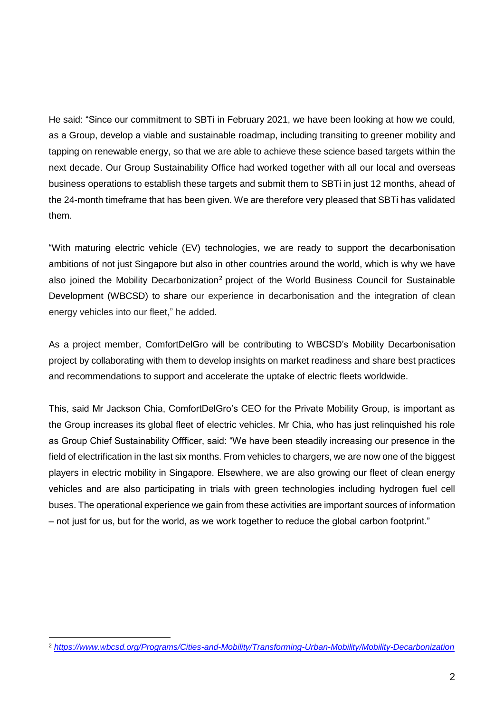He said: "Since our commitment to SBTi in February 2021, we have been looking at how we could, as a Group, develop a viable and sustainable roadmap, including transiting to greener mobility and tapping on renewable energy, so that we are able to achieve these science based targets within the next decade. Our Group Sustainability Office had worked together with all our local and overseas business operations to establish these targets and submit them to SBTi in just 12 months, ahead of the 24-month timeframe that has been given. We are therefore very pleased that SBTi has validated them.

"With maturing electric vehicle (EV) technologies, we are ready to support the decarbonisation ambitions of not just Singapore but also in other countries around the world, which is why we have also joined the Mobility Decarbonization<sup>2</sup> project of the World Business Council for Sustainable Development (WBCSD) to share our experience in decarbonisation and the integration of clean energy vehicles into our fleet," he added.

As a project member, ComfortDelGro will be contributing to WBCSD's Mobility Decarbonisation project by collaborating with them to develop insights on market readiness and share best practices and recommendations to support and accelerate the uptake of electric fleets worldwide.

This, said Mr Jackson Chia, ComfortDelGro's CEO for the Private Mobility Group, is important as the Group increases its global fleet of electric vehicles. Mr Chia, who has just relinquished his role as Group Chief Sustainability Offficer, said: "We have been steadily increasing our presence in the field of electrification in the last six months. From vehicles to chargers, we are now one of the biggest players in electric mobility in Singapore. Elsewhere, we are also growing our fleet of clean energy vehicles and are also participating in trials with green technologies including hydrogen fuel cell buses. The operational experience we gain from these activities are important sources of information – not just for us, but for the world, as we work together to reduce the global carbon footprint."

 $\overline{a}$ <sup>2</sup> *<https://www.wbcsd.org/Programs/Cities-and-Mobility/Transforming-Urban-Mobility/Mobility-Decarbonization>*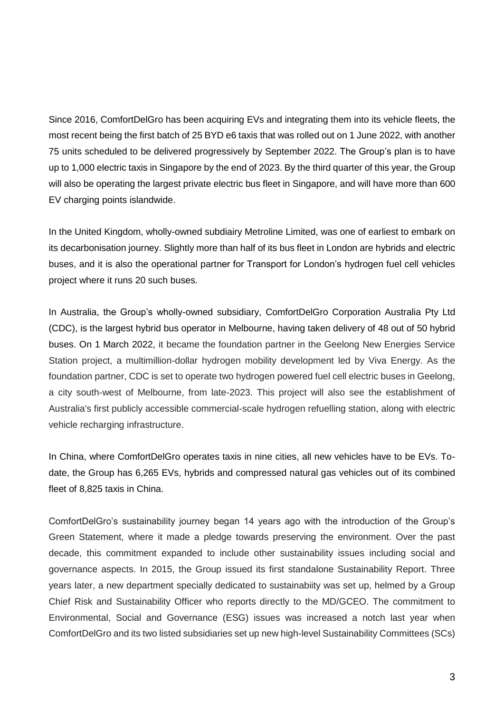Since 2016, ComfortDelGro has been acquiring EVs and integrating them into its vehicle fleets, the most recent being the first batch of 25 BYD e6 taxis that was rolled out on 1 June 2022, with another 75 units scheduled to be delivered progressively by September 2022. The Group's plan is to have up to 1,000 electric taxis in Singapore by the end of 2023. By the third quarter of this year, the Group will also be operating the largest private electric bus fleet in Singapore, and will have more than 600 EV charging points islandwide.

In the United Kingdom, wholly-owned subdiairy Metroline Limited, was one of earliest to embark on its decarbonisation journey. Slightly more than half of its bus fleet in London are hybrids and electric buses, and it is also the operational partner for Transport for London's hydrogen fuel cell vehicles project where it runs 20 such buses.

In Australia, the Group's wholly-owned subsidiary, ComfortDelGro Corporation Australia Pty Ltd (CDC), is the largest hybrid bus operator in Melbourne, having taken delivery of 48 out of 50 hybrid buses. On 1 March 2022, it became the foundation partner in the Geelong New Energies Service Station project, a multimillion-dollar hydrogen mobility development led by Viva Energy. As the foundation partner, CDC is set to operate two hydrogen powered fuel cell electric buses in Geelong, a city south-west of Melbourne, from late-2023. This project will also see the establishment of Australia's first publicly accessible commercial-scale hydrogen refuelling station, along with electric vehicle recharging infrastructure.

In China, where ComfortDelGro operates taxis in nine cities, all new vehicles have to be EVs. Todate, the Group has 6,265 EVs, hybrids and compressed natural gas vehicles out of its combined fleet of 8,825 taxis in China.

ComfortDelGro's sustainability journey began 14 years ago with the introduction of the Group's Green Statement, where it made a pledge towards preserving the environment. Over the past decade, this commitment expanded to include other sustainability issues including social and governance aspects. In 2015, the Group issued its first standalone Sustainability Report. Three years later, a new department specially dedicated to sustainabiity was set up, helmed by a Group Chief Risk and Sustainability Officer who reports directly to the MD/GCEO. The commitment to Environmental, Social and Governance (ESG) issues was increased a notch last year when ComfortDelGro and its two listed subsidiaries set up new high-level Sustainability Committees (SCs)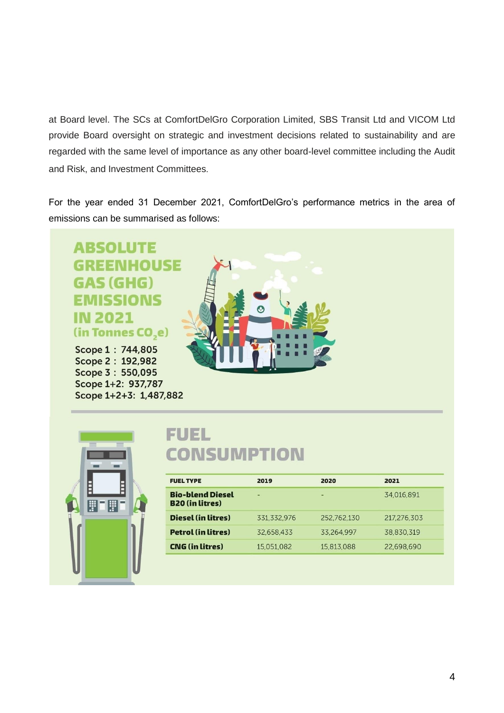at Board level. The SCs at ComfortDelGro Corporation Limited, SBS Transit Ltd and VICOM Ltd provide Board oversight on strategic and investment decisions related to sustainability and are regarded with the same level of importance as any other board-level committee including the Audit and Risk, and Investment Committees.

For the year ended 31 December 2021, ComfortDelGro's performance metrics in the area of emissions can be summarised as follows:

#### **ABSOLUTE GREENHOUSE GAS (GHG) EMISSIONS IN 2021** (in Tonnes CO<sub>,e</sub>)

Scope 1: 744,805 Scope 2: 192,982 Scope 3: 550,095 Scope 1+2: 937,787 Scope 1+2+3: 1,487,882





## **FUEL CONSUMPTION**

| 2019        | 2020        | 2021        |
|-------------|-------------|-------------|
| ٠           | -           | 34,016,891  |
| 331,332,976 | 252,762,130 | 217,276,303 |
| 32.658.433  | 33.264,997  | 38.830.319  |
| 15,051,082  | 15,813,088  | 22,698,690  |
|             |             |             |